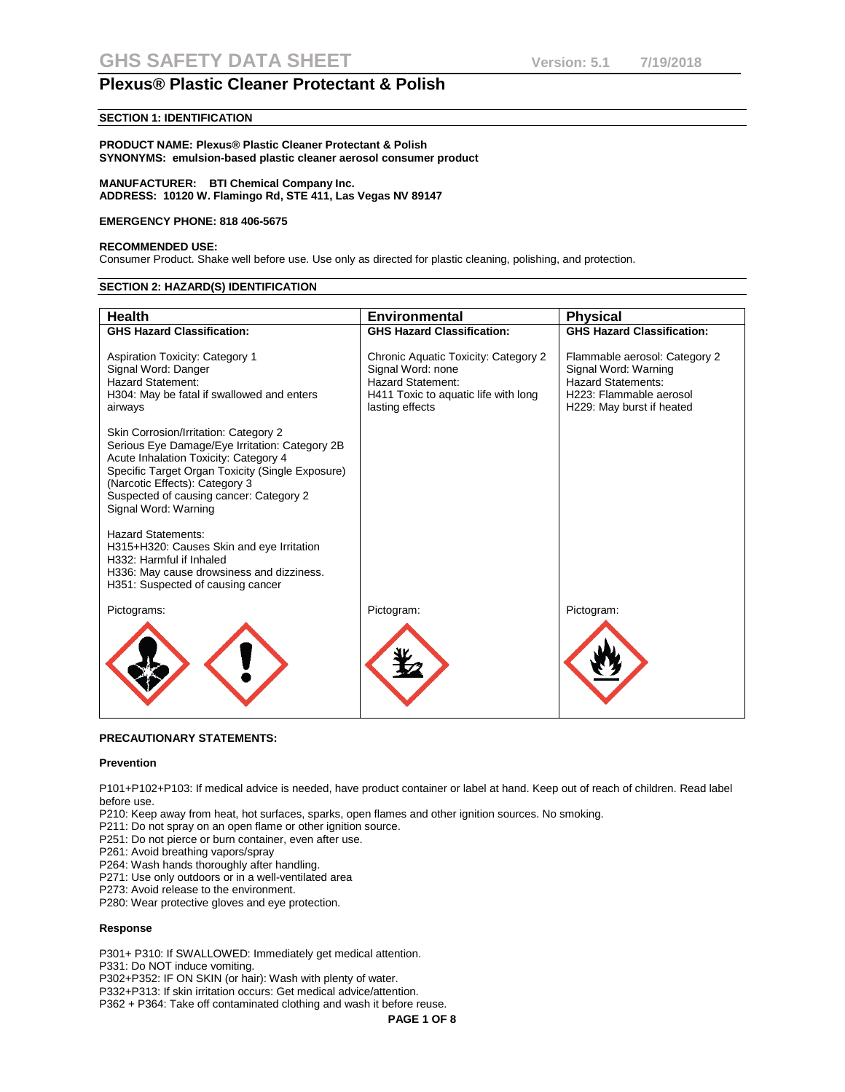## **SECTION 1: IDENTIFICATION**

#### **PRODUCT NAME: Plexus® Plastic Cleaner Protectant & Polish SYNONYMS: emulsion-based plastic cleaner aerosol consumer product**

#### **MANUFACTURER: BTI Chemical Company Inc. ADDRESS: 10120 W. Flamingo Rd, STE 411, Las Vegas NV 89147**

#### **EMERGENCY PHONE: 818 406-5675**

#### **RECOMMENDED USE:**

Consumer Product. Shake well before use. Use only as directed for plastic cleaning, polishing, and protection.

#### **SECTION 2: HAZARD(S) IDENTIFICATION**

| <b>Health</b>                                                                                                                                                                                                                                                                             | <b>Environmental</b>                                                                                                                      | <b>Physical</b>                                                                                                                            |
|-------------------------------------------------------------------------------------------------------------------------------------------------------------------------------------------------------------------------------------------------------------------------------------------|-------------------------------------------------------------------------------------------------------------------------------------------|--------------------------------------------------------------------------------------------------------------------------------------------|
| <b>GHS Hazard Classification:</b>                                                                                                                                                                                                                                                         | <b>GHS Hazard Classification:</b>                                                                                                         | <b>GHS Hazard Classification:</b>                                                                                                          |
| <b>Aspiration Toxicity: Category 1</b><br>Signal Word: Danger<br>Hazard Statement:<br>H304: May be fatal if swallowed and enters<br>airways                                                                                                                                               | Chronic Aquatic Toxicity: Category 2<br>Signal Word: none<br>Hazard Statement:<br>H411 Toxic to aquatic life with long<br>lasting effects | Flammable aerosol: Category 2<br>Signal Word: Warning<br><b>Hazard Statements:</b><br>H223: Flammable aerosol<br>H229: May burst if heated |
| Skin Corrosion/Irritation: Category 2<br>Serious Eye Damage/Eye Irritation: Category 2B<br>Acute Inhalation Toxicity: Category 4<br>Specific Target Organ Toxicity (Single Exposure)<br>(Narcotic Effects): Category 3<br>Suspected of causing cancer: Category 2<br>Signal Word: Warning |                                                                                                                                           |                                                                                                                                            |
| <b>Hazard Statements:</b><br>H315+H320: Causes Skin and eye Irritation<br>H332: Harmful if Inhaled<br>H336: May cause drowsiness and dizziness.<br>H351: Suspected of causing cancer                                                                                                      |                                                                                                                                           |                                                                                                                                            |
| Pictograms:                                                                                                                                                                                                                                                                               | Pictogram:                                                                                                                                | Pictogram:                                                                                                                                 |
|                                                                                                                                                                                                                                                                                           |                                                                                                                                           |                                                                                                                                            |

## **PRECAUTIONARY STATEMENTS:**

#### **Prevention**

P101+P102+P103: If medical advice is needed, have product container or label at hand. Keep out of reach of children. Read label before use.

P210: Keep away from heat, hot surfaces, sparks, open flames and other ignition sources. No smoking.

P211: Do not spray on an open flame or other ignition source.

P251: Do not pierce or burn container, even after use.

P261: Avoid breathing vapors/spray

P264: Wash hands thoroughly after handling.

P271: Use only outdoors or in a well-ventilated area

P273: Avoid release to the environment.

P280: Wear protective gloves and eye protection.

#### **Response**

P301+ P310: If SWALLOWED: Immediately get medical attention.

P331: Do NOT induce vomiting.

P302+P352: IF ON SKIN (or hair): Wash with plenty of water.

P332+P313: If skin irritation occurs: Get medical advice/attention.

P362 + P364: Take off contaminated clothing and wash it before reuse.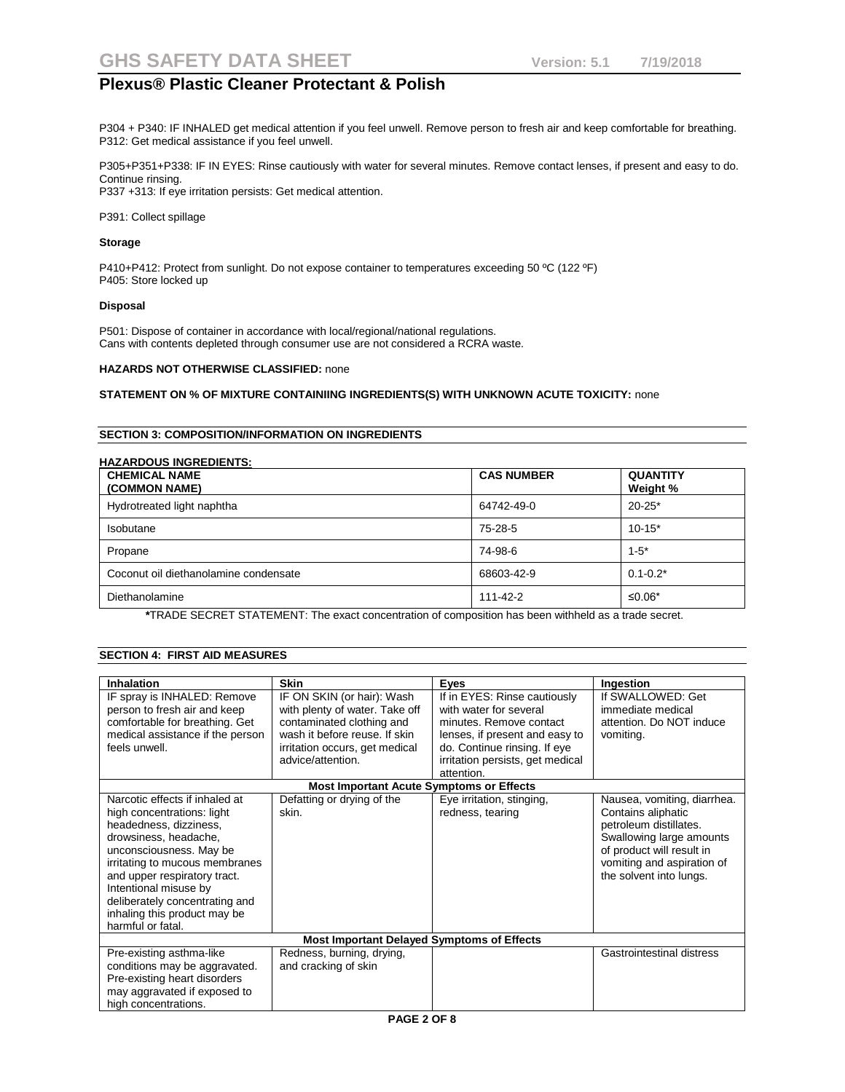P304 + P340: IF INHALED get medical attention if you feel unwell. Remove person to fresh air and keep comfortable for breathing. P312: Get medical assistance if you feel unwell.

P305+P351+P338: IF IN EYES: Rinse cautiously with water for several minutes. Remove contact lenses, if present and easy to do. Continue rinsing. P337 +313: If eye irritation persists: Get medical attention.

P391: Collect spillage

#### **Storage**

P410+P412: Protect from sunlight. Do not expose container to temperatures exceeding 50 °C (122 °F) P405: Store locked up

#### **Disposal**

P501: Dispose of container in accordance with local/regional/national regulations. Cans with contents depleted through consumer use are not considered a RCRA waste.

### **HAZARDS NOT OTHERWISE CLASSIFIED:** none

### **STATEMENT ON % OF MIXTURE CONTAINIING INGREDIENTS(S) WITH UNKNOWN ACUTE TOXICITY:** none

## **SECTION 3: COMPOSITION/INFORMATION ON INGREDIENTS**

| <b>CHEMICAL NAME</b><br>(COMMON NAME) | <b>CAS NUMBER</b> | <b>QUANTITY</b><br>Weight % |
|---------------------------------------|-------------------|-----------------------------|
| Hydrotreated light naphtha            | 64742-49-0        | $20 - 25*$                  |
| <b>Isobutane</b>                      | 75-28-5           | $10-15*$                    |
| Propane                               | 74-98-6           | $1-5*$                      |
| Coconut oil diethanolamine condensate | 68603-42-9        | $0.1 - 0.2*$                |
| Diethanolamine                        | 111-42-2          | ≤0.06*                      |

 **\***TRADE SECRET STATEMENT: The exact concentration of composition has been withheld as a trade secret.

| Inhalation                       | <b>Skin</b>                                       | Eyes                             | Ingestion                   |
|----------------------------------|---------------------------------------------------|----------------------------------|-----------------------------|
| IF spray is INHALED: Remove      | IF ON SKIN (or hair): Wash                        | If in EYES: Rinse cautiously     | If SWALLOWED: Get           |
| person to fresh air and keep     | with plenty of water. Take off                    | with water for several           | immediate medical           |
| comfortable for breathing. Get   | contaminated clothing and                         | minutes. Remove contact          | attention. Do NOT induce    |
| medical assistance if the person | wash it before reuse. If skin                     | lenses, if present and easy to   | vomiting.                   |
| feels unwell.                    | irritation occurs, get medical                    | do. Continue rinsing. If eye     |                             |
|                                  | advice/attention.                                 | irritation persists, get medical |                             |
|                                  |                                                   | attention.                       |                             |
|                                  | <b>Most Important Acute Symptoms or Effects</b>   |                                  |                             |
| Narcotic effects if inhaled at   | Defatting or drying of the                        | Eye irritation, stinging,        | Nausea, vomiting, diarrhea. |
| high concentrations: light       | skin.                                             | redness, tearing                 | Contains aliphatic          |
| headedness, dizziness,           |                                                   |                                  | petroleum distillates.      |
| drowsiness, headache,            |                                                   |                                  | Swallowing large amounts    |
| unconsciousness. May be          |                                                   |                                  | of product will result in   |
| irritating to mucous membranes   |                                                   |                                  | vomiting and aspiration of  |
| and upper respiratory tract.     |                                                   |                                  | the solvent into lungs.     |
| Intentional misuse by            |                                                   |                                  |                             |
| deliberately concentrating and   |                                                   |                                  |                             |
| inhaling this product may be     |                                                   |                                  |                             |
| harmful or fatal.                |                                                   |                                  |                             |
|                                  | <b>Most Important Delayed Symptoms of Effects</b> |                                  |                             |
| Pre-existing asthma-like         | Redness, burning, drying,                         |                                  | Gastrointestinal distress   |
| conditions may be aggravated.    | and cracking of skin                              |                                  |                             |
| Pre-existing heart disorders     |                                                   |                                  |                             |
| may aggravated if exposed to     |                                                   |                                  |                             |
| high concentrations.             |                                                   |                                  |                             |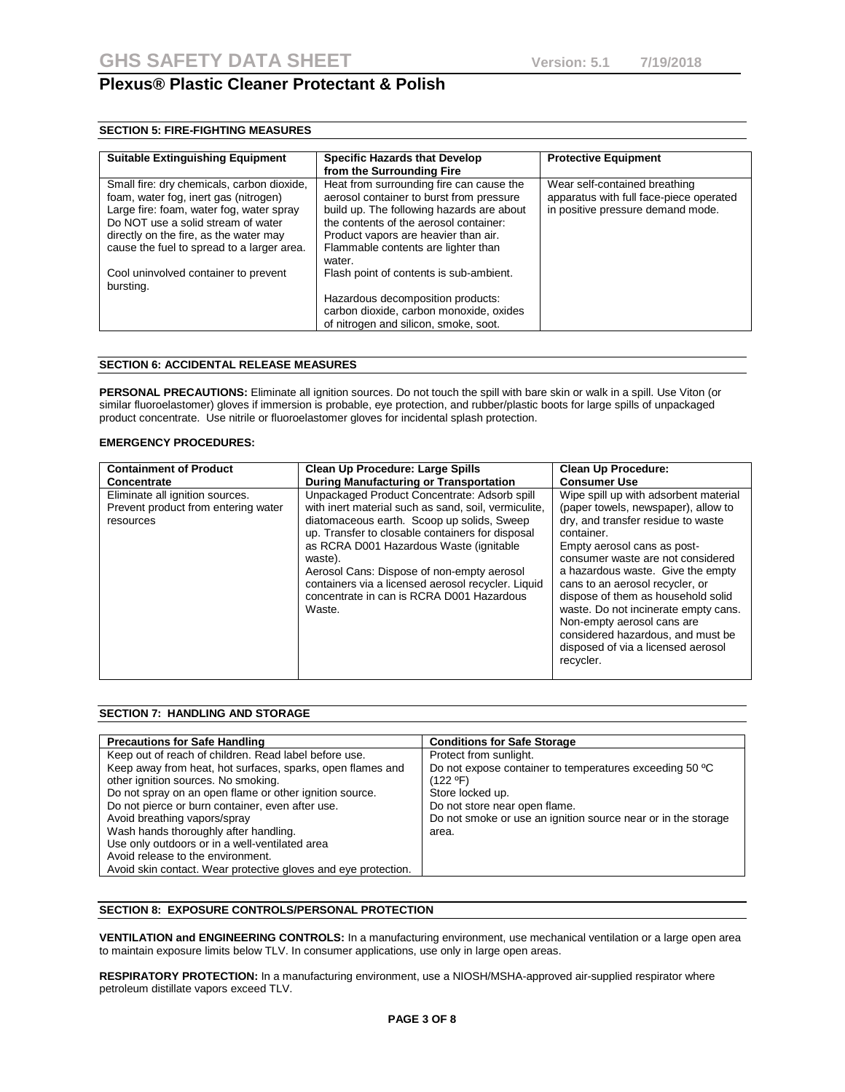## **SECTION 5: FIRE-FIGHTING MEASURES**

| <b>Suitable Extinguishing Equipment</b>                                                                                                                                                                                                                       | <b>Specific Hazards that Develop</b><br>from the Surrounding Fire                                                                                                                                                                                                    | <b>Protective Equipment</b>                                                                                   |
|---------------------------------------------------------------------------------------------------------------------------------------------------------------------------------------------------------------------------------------------------------------|----------------------------------------------------------------------------------------------------------------------------------------------------------------------------------------------------------------------------------------------------------------------|---------------------------------------------------------------------------------------------------------------|
| Small fire: dry chemicals, carbon dioxide,<br>foam, water fog, inert gas (nitrogen)<br>Large fire: foam, water fog, water spray<br>Do NOT use a solid stream of water<br>directly on the fire, as the water may<br>cause the fuel to spread to a larger area. | Heat from surrounding fire can cause the<br>aerosol container to burst from pressure<br>build up. The following hazards are about<br>the contents of the aerosol container:<br>Product vapors are heavier than air.<br>Flammable contents are lighter than<br>water. | Wear self-contained breathing<br>apparatus with full face-piece operated<br>in positive pressure demand mode. |
| Cool uninvolved container to prevent<br>bursting.                                                                                                                                                                                                             | Flash point of contents is sub-ambient.<br>Hazardous decomposition products:<br>carbon dioxide, carbon monoxide, oxides<br>of nitrogen and silicon, smoke, soot.                                                                                                     |                                                                                                               |

## **SECTION 6: ACCIDENTAL RELEASE MEASURES**

**PERSONAL PRECAUTIONS:** Eliminate all ignition sources. Do not touch the spill with bare skin or walk in a spill. Use Viton (or similar fluoroelastomer) gloves if immersion is probable, eye protection, and rubber/plastic boots for large spills of unpackaged product concentrate. Use nitrile or fluoroelastomer gloves for incidental splash protection.

#### **EMERGENCY PROCEDURES:**

| <b>Containment of Product</b>                                                       | <b>Clean Up Procedure: Large Spills</b>                                                                                                                                                                                                                                                                                                                                                                                  | <b>Clean Up Procedure:</b>                                                                                                                                                                                                                                                                                                                                                                                                                                                       |
|-------------------------------------------------------------------------------------|--------------------------------------------------------------------------------------------------------------------------------------------------------------------------------------------------------------------------------------------------------------------------------------------------------------------------------------------------------------------------------------------------------------------------|----------------------------------------------------------------------------------------------------------------------------------------------------------------------------------------------------------------------------------------------------------------------------------------------------------------------------------------------------------------------------------------------------------------------------------------------------------------------------------|
| Concentrate                                                                         | <b>During Manufacturing or Transportation</b>                                                                                                                                                                                                                                                                                                                                                                            | <b>Consumer Use</b>                                                                                                                                                                                                                                                                                                                                                                                                                                                              |
| Eliminate all ignition sources.<br>Prevent product from entering water<br>resources | Unpackaged Product Concentrate: Adsorb spill<br>with inert material such as sand, soil, vermiculite.<br>diatomaceous earth. Scoop up solids, Sweep<br>up. Transfer to closable containers for disposal<br>as RCRA D001 Hazardous Waste (ignitable)<br>waste).<br>Aerosol Cans: Dispose of non-empty aerosol<br>containers via a licensed aerosol recycler. Liquid<br>concentrate in can is RCRA D001 Hazardous<br>Waste. | Wipe spill up with adsorbent material<br>(paper towels, newspaper), allow to<br>dry, and transfer residue to waste<br>container.<br>Empty aerosol cans as post-<br>consumer waste are not considered<br>a hazardous waste. Give the empty<br>cans to an aerosol recycler, or<br>dispose of them as household solid<br>waste. Do not incinerate empty cans.<br>Non-empty aerosol cans are<br>considered hazardous, and must be<br>disposed of via a licensed aerosol<br>recycler. |

## **SECTION 7: HANDLING AND STORAGE**

| <b>Precautions for Safe Handling</b>                           | <b>Conditions for Safe Storage</b>                            |
|----------------------------------------------------------------|---------------------------------------------------------------|
| Keep out of reach of children. Read label before use.          | Protect from sunlight.                                        |
| Keep away from heat, hot surfaces, sparks, open flames and     | Do not expose container to temperatures exceeding 50 °C       |
| other ignition sources. No smoking.                            | (122 ºF)                                                      |
| Do not spray on an open flame or other ignition source.        | Store locked up.                                              |
| Do not pierce or burn container, even after use.               | Do not store near open flame.                                 |
| Avoid breathing vapors/spray                                   | Do not smoke or use an ignition source near or in the storage |
| Wash hands thoroughly after handling.                          | area.                                                         |
| Use only outdoors or in a well-ventilated area                 |                                                               |
| Avoid release to the environment.                              |                                                               |
| Avoid skin contact. Wear protective gloves and eye protection. |                                                               |

## **SECTION 8: EXPOSURE CONTROLS/PERSONAL PROTECTION**

**VENTILATION and ENGINEERING CONTROLS:** In a manufacturing environment, use mechanical ventilation or a large open area to maintain exposure limits below TLV. In consumer applications, use only in large open areas.

**RESPIRATORY PROTECTION:** In a manufacturing environment, use a NIOSH/MSHA-approved air-supplied respirator where petroleum distillate vapors exceed TLV.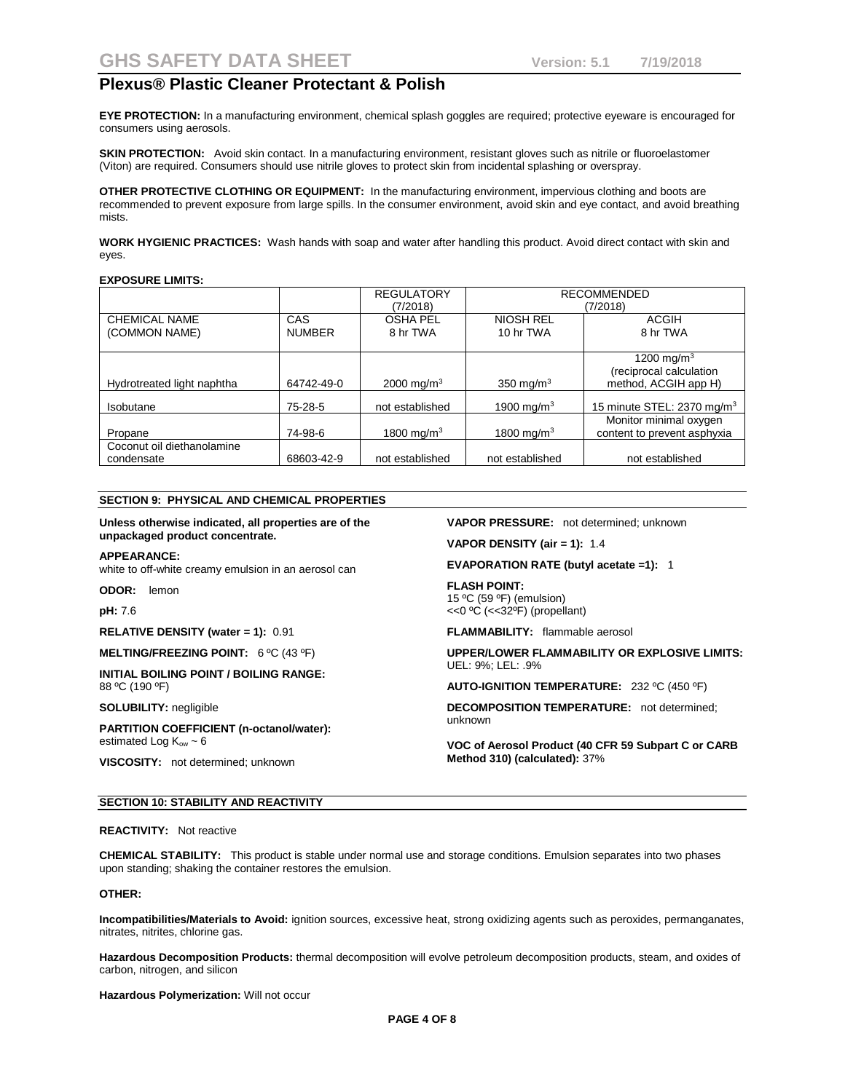**EYE PROTECTION:** In a manufacturing environment, chemical splash goggles are required; protective eyeware is encouraged for consumers using aerosols.

**SKIN PROTECTION:** Avoid skin contact. In a manufacturing environment, resistant gloves such as nitrile or fluoroelastomer (Viton) are required. Consumers should use nitrile gloves to protect skin from incidental splashing or overspray.

**OTHER PROTECTIVE CLOTHING OR EQUIPMENT:** In the manufacturing environment, impervious clothing and boots are recommended to prevent exposure from large spills. In the consumer environment, avoid skin and eye contact, and avoid breathing mists.

**WORK HYGIENIC PRACTICES:** Wash hands with soap and water after handling this product. Avoid direct contact with skin and eyes.

#### **EXPOSURE LIMITS:**

|                            |               | <b>REGULATORY</b>      | <b>RECOMMENDED</b>     |                                        |
|----------------------------|---------------|------------------------|------------------------|----------------------------------------|
|                            |               | (7/2018)               |                        | (7/2018)                               |
| CHEMICAL NAME              | CAS           | <b>OSHA PEL</b>        | <b>NIOSH REL</b>       | <b>ACGIH</b>                           |
| (COMMON NAME)              | <b>NUMBER</b> | 8 hr TWA               | 10 hr TWA              | 8 hr TWA                               |
|                            |               |                        |                        |                                        |
|                            |               |                        |                        | 1200 mg/m <sup>3</sup>                 |
|                            |               |                        |                        | (reciprocal calculation                |
| Hydrotreated light naphtha | 64742-49-0    | 2000 mg/m <sup>3</sup> | 350 mg/m $3$           | method, ACGIH app H)                   |
|                            |               |                        |                        |                                        |
| Isobutane                  | 75-28-5       | not established        | 1900 mg/m <sup>3</sup> | 15 minute STEL: 2370 mg/m <sup>3</sup> |
|                            |               |                        |                        | Monitor minimal oxygen                 |
| Propane                    | 74-98-6       | 1800 mg/m <sup>3</sup> | 1800 mg/m <sup>3</sup> | content to prevent asphyxia            |
| Coconut oil diethanolamine |               |                        |                        |                                        |
| condensate                 | 68603-42-9    | not established        | not established        | not established                        |

#### **SECTION 9: PHYSICAL AND CHEMICAL PROPERTIES**

#### **Unless otherwise indicated, all properties are of the unpackaged product concentrate.**

#### **APPEARANCE:**

white to off-white creamy emulsion in an aerosol can

**ODOR:** lemon

#### **pH:** 7.6

**RELATIVE DENSITY (water = 1):** 0.91

**MELTING/FREEZING POINT:** 6 ºC (43 ºF)

**INITIAL BOILING POINT / BOILING RANGE:**  88 ºC (190 ºF)

#### **SOLUBILITY:** negligible

**PARTITION COEFFICIENT (n-octanol/water):** estimated Log  $K_{ow} \sim 6$ 

**VISCOSITY:** not determined; unknown

#### **VAPOR PRESSURE:** not determined; unknown

**VAPOR DENSITY (air = 1):** 1.4

#### **EVAPORATION RATE (butyl acetate =1):** 1

**FLASH POINT:** 15 ºC (59 ºF) (emulsion) <<0 ºC (<<32ºF) (propellant)

**FLAMMABILITY:** flammable aerosol

**UPPER/LOWER FLAMMABILITY OR EXPLOSIVE LIMITS:** UEL: 9%; LEL: .9%

**AUTO-IGNITION TEMPERATURE:** 232 ºC (450 ºF)

**DECOMPOSITION TEMPERATURE:** not determined; unknown

**VOC of Aerosol Product (40 CFR 59 Subpart C or CARB Method 310) (calculated):** 37%

#### **SECTION 10: STABILITY AND REACTIVITY**

#### **REACTIVITY:** Not reactive

**CHEMICAL STABILITY:** This product is stable under normal use and storage conditions. Emulsion separates into two phases upon standing; shaking the container restores the emulsion.

#### **OTHER:**

**Incompatibilities/Materials to Avoid:** ignition sources, excessive heat, strong oxidizing agents such as peroxides, permanganates, nitrates, nitrites, chlorine gas.

**Hazardous Decomposition Products:** thermal decomposition will evolve petroleum decomposition products, steam, and oxides of carbon, nitrogen, and silicon

**Hazardous Polymerization:** Will not occur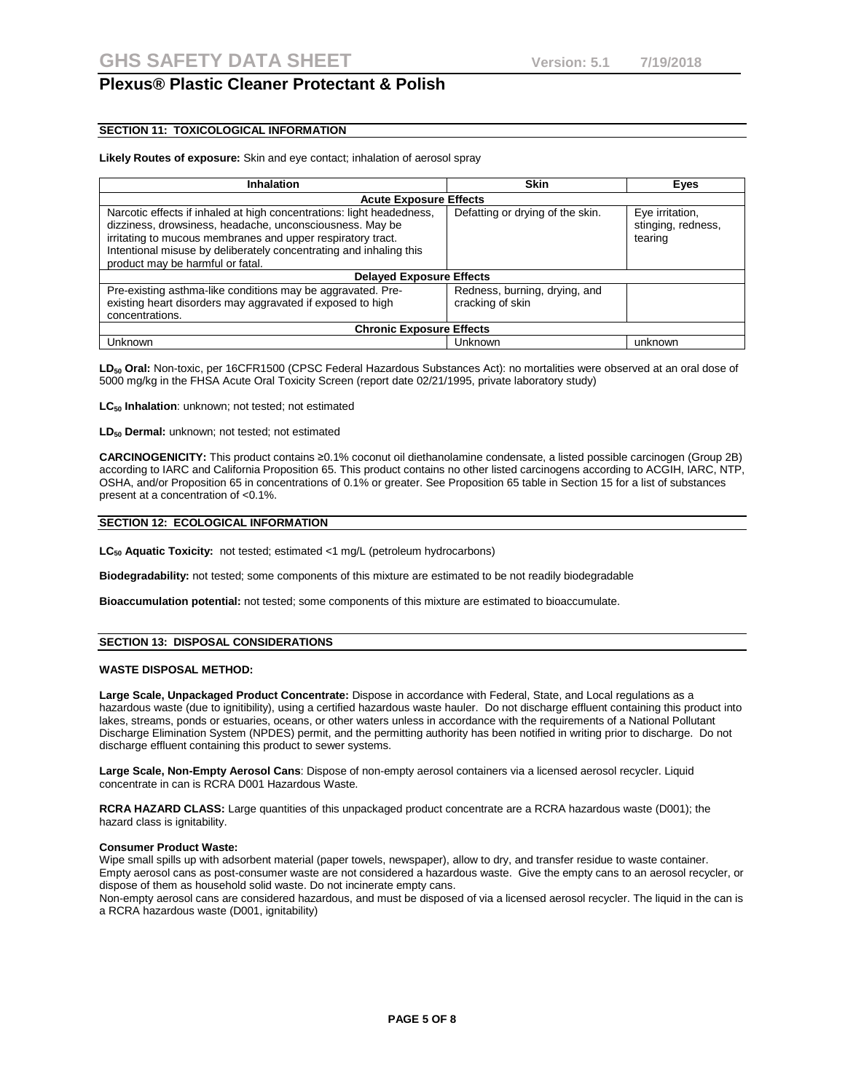### **SECTION 11: TOXICOLOGICAL INFORMATION**

#### **Likely Routes of exposure:** Skin and eye contact; inhalation of aerosol spray

| <b>Inhalation</b>                                                                                                                                                                                                                                                                                          | <b>Skin</b>                                       | Eyes                                             |  |  |
|------------------------------------------------------------------------------------------------------------------------------------------------------------------------------------------------------------------------------------------------------------------------------------------------------------|---------------------------------------------------|--------------------------------------------------|--|--|
| <b>Acute Exposure Effects</b>                                                                                                                                                                                                                                                                              |                                                   |                                                  |  |  |
| Narcotic effects if inhaled at high concentrations: light headedness,<br>dizziness, drowsiness, headache, unconsciousness. May be<br>irritating to mucous membranes and upper respiratory tract.<br>Intentional misuse by deliberately concentrating and inhaling this<br>product may be harmful or fatal. | Defatting or drying of the skin.                  | Eye irritation,<br>stinging, redness,<br>tearing |  |  |
| <b>Delayed Exposure Effects</b>                                                                                                                                                                                                                                                                            |                                                   |                                                  |  |  |
| Pre-existing asthma-like conditions may be aggravated. Pre-<br>existing heart disorders may aggravated if exposed to high<br>concentrations.                                                                                                                                                               | Redness, burning, drying, and<br>cracking of skin |                                                  |  |  |
| <b>Chronic Exposure Effects</b>                                                                                                                                                                                                                                                                            |                                                   |                                                  |  |  |
| Unknown                                                                                                                                                                                                                                                                                                    | Unknown                                           | unknown                                          |  |  |

LD<sub>50</sub> Oral: Non-toxic, per 16CFR1500 (CPSC Federal Hazardous Substances Act); no mortalities were observed at an oral dose of 5000 mg/kg in the FHSA Acute Oral Toxicity Screen (report date 02/21/1995, private laboratory study)

LC<sub>50</sub> Inhalation: unknown; not tested; not estimated

**LD50 Dermal:** unknown; not tested; not estimated

**CARCINOGENICITY:** This product contains ≥0.1% coconut oil diethanolamine condensate, a listed possible carcinogen (Group 2B) according to IARC and California Proposition 65. This product contains no other listed carcinogens according to ACGIH, IARC, NTP, OSHA, and/or Proposition 65 in concentrations of 0.1% or greater. See Proposition 65 table in Section 15 for a list of substances present at a concentration of <0.1%.

#### **SECTION 12: ECOLOGICAL INFORMATION**

**LC50 Aquatic Toxicity:** not tested; estimated <1 mg/L (petroleum hydrocarbons)

**Biodegradability:** not tested; some components of this mixture are estimated to be not readily biodegradable

**Bioaccumulation potential:** not tested; some components of this mixture are estimated to bioaccumulate.

#### **SECTION 13: DISPOSAL CONSIDERATIONS**

#### **WASTE DISPOSAL METHOD:**

**Large Scale, Unpackaged Product Concentrate:** Dispose in accordance with Federal, State, and Local regulations as a hazardous waste (due to ignitibility), using a certified hazardous waste hauler. Do not discharge effluent containing this product into lakes, streams, ponds or estuaries, oceans, or other waters unless in accordance with the requirements of a National Pollutant Discharge Elimination System (NPDES) permit, and the permitting authority has been notified in writing prior to discharge. Do not discharge effluent containing this product to sewer systems.

**Large Scale, Non-Empty Aerosol Cans**: Dispose of non-empty aerosol containers via a licensed aerosol recycler. Liquid concentrate in can is RCRA D001 Hazardous Waste.

**RCRA HAZARD CLASS:** Large quantities of this unpackaged product concentrate are a RCRA hazardous waste (D001); the hazard class is ignitability.

#### **Consumer Product Waste:**

Wipe small spills up with adsorbent material (paper towels, newspaper), allow to dry, and transfer residue to waste container. Empty aerosol cans as post-consumer waste are not considered a hazardous waste. Give the empty cans to an aerosol recycler, or dispose of them as household solid waste. Do not incinerate empty cans.

Non-empty aerosol cans are considered hazardous, and must be disposed of via a licensed aerosol recycler. The liquid in the can is a RCRA hazardous waste (D001, ignitability)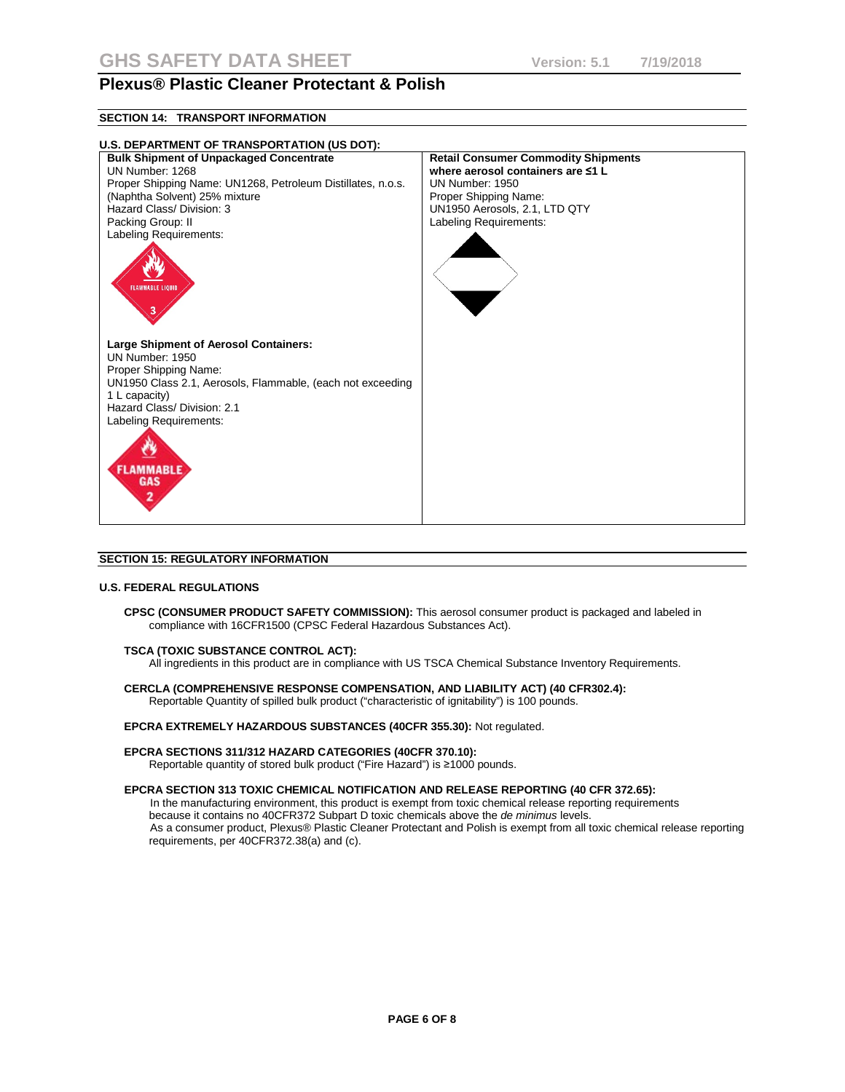## **SECTION 14: TRANSPORT INFORMATION**



#### **SECTION 15: REGULATORY INFORMATION**

#### **U.S. FEDERAL REGULATIONS**

**CPSC (CONSUMER PRODUCT SAFETY COMMISSION):** This aerosol consumer product is packaged and labeled in compliance with 16CFR1500 (CPSC Federal Hazardous Substances Act).

#### **TSCA (TOXIC SUBSTANCE CONTROL ACT):**

requirements, per 40CFR372.38(a) and (c).

All ingredients in this product are in compliance with US TSCA Chemical Substance Inventory Requirements.

#### **CERCLA (COMPREHENSIVE RESPONSE COMPENSATION, AND LIABILITY ACT) (40 CFR302.4):** Reportable Quantity of spilled bulk product ("characteristic of ignitability") is 100 pounds.

## **EPCRA EXTREMELY HAZARDOUS SUBSTANCES (40CFR 355.30):** Not regulated.

#### **EPCRA SECTIONS 311/312 HAZARD CATEGORIES (40CFR 370.10):**

Reportable quantity of stored bulk product ("Fire Hazard") is ≥1000 pounds.

#### **EPCRA SECTION 313 TOXIC CHEMICAL NOTIFICATION AND RELEASE REPORTING (40 CFR 372.65):**

In the manufacturing environment, this product is exempt from toxic chemical release reporting requirements because it contains no 40CFR372 Subpart D toxic chemicals above the *de minimus* levels. As a consumer product, Plexus® Plastic Cleaner Protectant and Polish is exempt from all toxic chemical release reporting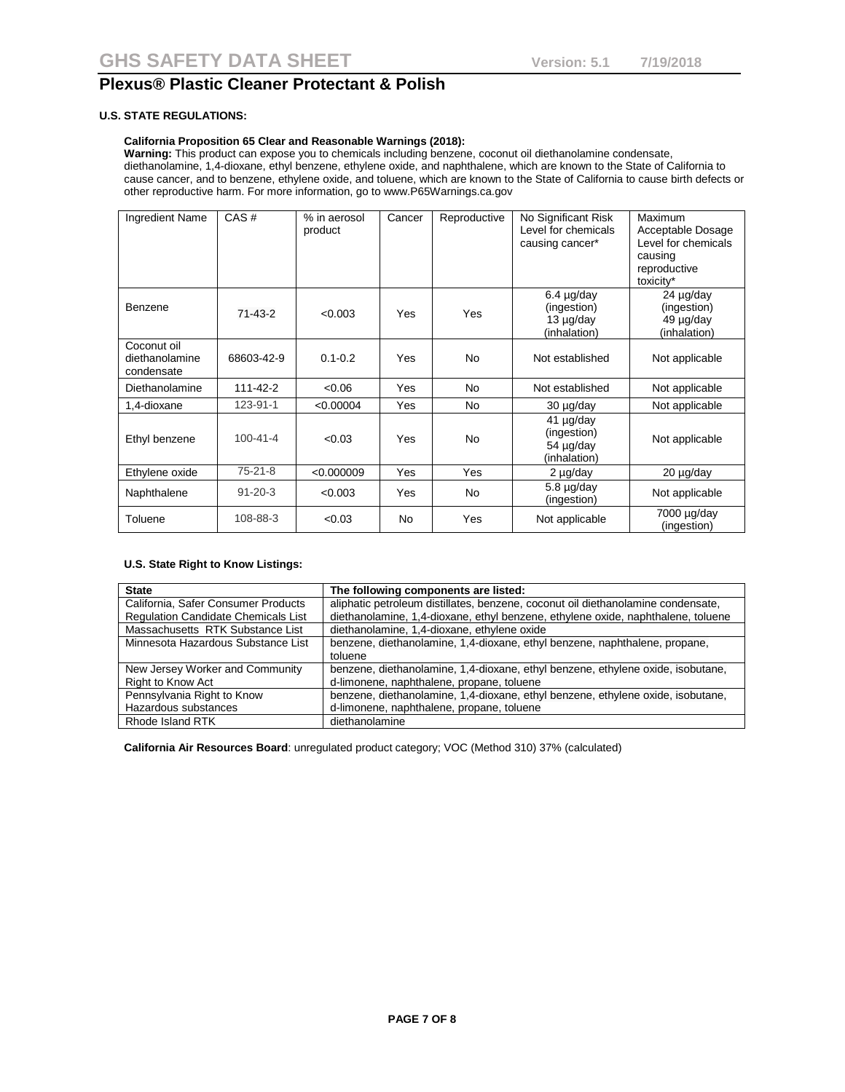### **U.S. STATE REGULATIONS:**

## **California Proposition 65 Clear and Reasonable Warnings (2018):**

**Warning:** This product can expose you to chemicals including benzene, coconut oil diethanolamine condensate, diethanolamine, 1,4-dioxane, ethyl benzene, ethylene oxide, and naphthalene, which are known to the State of California to cause cancer, and to benzene, ethylene oxide, and toluene, which are known to the State of California to cause birth defects or other reproductive harm. For more information, go to www.P65Warnings.ca.gov

| <b>Ingredient Name</b>                      | CAS#           | % in aerosol<br>product | Cancer | Reproductive | No Significant Risk<br>Level for chemicals<br>causing cancer* | Maximum<br>Acceptable Dosage<br>Level for chemicals<br>causing<br>reproductive<br>toxicity* |
|---------------------------------------------|----------------|-------------------------|--------|--------------|---------------------------------------------------------------|---------------------------------------------------------------------------------------------|
| Benzene                                     | 71-43-2        | < 0.003                 | Yes    | Yes          | $6.4$ µg/day<br>(ingestion)<br>13 µg/day<br>(inhalation)      | 24 µg/day<br>(ingestion)<br>49 µg/day<br>(inhalation)                                       |
| Coconut oil<br>diethanolamine<br>condensate | 68603-42-9     | $0.1 - 0.2$             | Yes    | <b>No</b>    | Not established                                               | Not applicable                                                                              |
| Diethanolamine                              | 111-42-2       | < 0.06                  | Yes    | No.          | Not established                                               | Not applicable                                                                              |
| 1,4-dioxane                                 | 123-91-1       | < 0.00004               | Yes    | No.          | 30 µg/day                                                     | Not applicable                                                                              |
| Ethyl benzene                               | $100 - 41 - 4$ | < 0.03                  | Yes    | <b>No</b>    | $41 \mu g/day$<br>(ingestion)<br>54 µg/day<br>(inhalation)    | Not applicable                                                                              |
| Ethylene oxide                              | 75-21-8        | < 0.000009              | Yes    | Yes          | $2 \mu g/day$                                                 | 20 µg/day                                                                                   |
| Naphthalene                                 | $91 - 20 - 3$  | < 0.003                 | Yes    | No.          | $5.8 \mu g/day$<br>(ingestion)                                | Not applicable                                                                              |
| Toluene                                     | 108-88-3       | < 0.03                  | No     | Yes          | Not applicable                                                | 7000 µg/day<br>(ingestion)                                                                  |

## **U.S. State Right to Know Listings:**

| <b>State</b>                               | The following components are listed:                                             |
|--------------------------------------------|----------------------------------------------------------------------------------|
| California, Safer Consumer Products        | aliphatic petroleum distillates, benzene, coconut oil diethanolamine condensate, |
| <b>Regulation Candidate Chemicals List</b> | diethanolamine, 1,4-dioxane, ethyl benzene, ethylene oxide, naphthalene, toluene |
| Massachusetts RTK Substance List           | diethanolamine, 1,4-dioxane, ethylene oxide                                      |
| Minnesota Hazardous Substance List         | benzene, diethanolamine, 1,4-dioxane, ethyl benzene, naphthalene, propane,       |
|                                            | toluene                                                                          |
| New Jersey Worker and Community            | benzene, diethanolamine, 1,4-dioxane, ethyl benzene, ethylene oxide, isobutane,  |
| Right to Know Act                          | d-limonene, naphthalene, propane, toluene                                        |
| Pennsylvania Right to Know                 | benzene, diethanolamine, 1,4-dioxane, ethyl benzene, ethylene oxide, isobutane,  |
| Hazardous substances                       | d-limonene, naphthalene, propane, toluene                                        |
| Rhode Island RTK                           | diethanolamine                                                                   |

**California Air Resources Board**: unregulated product category; VOC (Method 310) 37% (calculated)